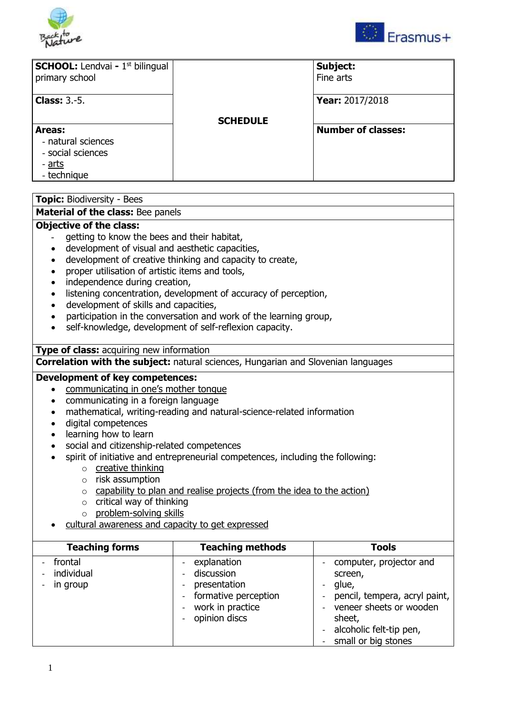



| <b>SCHOOL:</b> Lendvai - 1 <sup>st</sup> bilingual<br>primary school              |                 | Subject:<br>Fine arts     |
|-----------------------------------------------------------------------------------|-----------------|---------------------------|
| <b>Class:</b> $3.-5$ .                                                            |                 | Year: 2017/2018           |
|                                                                                   | <b>SCHEDULE</b> |                           |
| Areas:<br>- natural sciences<br>- social sciences<br><u>- arts</u><br>- technique |                 | <b>Number of classes:</b> |

#### **Topic:** Biodiversity - Bees **Material of the class:** Bee panels **Objective of the class:** aetting to know the bees and their habitat, development of visual and aesthetic capacities, development of creative thinking and capacity to create, proper utilisation of artistic items and tools, independence during creation, listening concentration, development of accuracy of perception, development of skills and capacities, participation in the conversation and work of the learning group, self-knowledge, development of self-reflexion capacity. **Type of class:** acquiring new information **Correlation with the subject:** natural sciences, Hungarian and Slovenian languages **Development of key competences:** • communicating in one's mother tongue communicating in a foreign language mathematical, writing-reading and natural-science-related information digital competences • learning how to learn social and citizenship-related competences spirit of initiative and entrepreneurial competences, including the following: o creative thinking o risk assumption o capability to plan and realise projects (from the idea to the action)  $\circ$  critical way of thinking o problem-solving skills cultural awareness and capacity to get expressed **Teaching forms Teaching methods Tools** - frontal - individual in group - explanation - discussion - presentation - formative perception - work in practice computer, projector and screen, - glue, pencil, tempera, acryl paint, veneer sheets or wooden

- opinion discs

sheet,

alcoholic felt-tip pen, small or big stones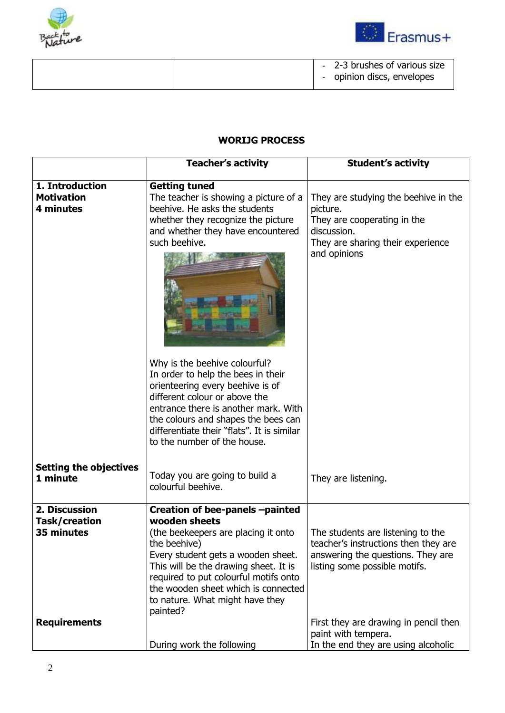



|  | - 2-3 brushes of various size |
|--|-------------------------------|
|  | opinion discs, envelopes      |
|  |                               |

# **WORIJG PROCESS**

|                                                   | <b>Teacher's activity</b>                                                                                                                                                                                                                                                                                             | <b>Student's activity</b>                                                                                                                           |
|---------------------------------------------------|-----------------------------------------------------------------------------------------------------------------------------------------------------------------------------------------------------------------------------------------------------------------------------------------------------------------------|-----------------------------------------------------------------------------------------------------------------------------------------------------|
| 1. Introduction<br><b>Motivation</b><br>4 minutes | <b>Getting tuned</b><br>The teacher is showing a picture of a<br>beehive. He asks the students<br>whether they recognize the picture<br>and whether they have encountered<br>such beehive.                                                                                                                            | They are studying the beehive in the<br>picture.<br>They are cooperating in the<br>discussion.<br>They are sharing their experience<br>and opinions |
|                                                   |                                                                                                                                                                                                                                                                                                                       |                                                                                                                                                     |
|                                                   | Why is the beehive colourful?<br>In order to help the bees in their<br>orienteering every beehive is of<br>different colour or above the<br>entrance there is another mark. With<br>the colours and shapes the bees can<br>differentiate their "flats". It is similar<br>to the number of the house.                  |                                                                                                                                                     |
| <b>Setting the objectives</b><br>1 minute         | Today you are going to build a<br>colourful beehive.                                                                                                                                                                                                                                                                  | They are listening.                                                                                                                                 |
| 2. Discussion<br>Task/creation<br>35 minutes      | Creation of bee-panels -painted<br>wooden sheets<br>(the beekeepers are placing it onto<br>the beehive)<br>Every student gets a wooden sheet.<br>This will be the drawing sheet. It is<br>required to put colourful motifs onto<br>the wooden sheet which is connected<br>to nature. What might have they<br>painted? | The students are listening to the<br>teacher's instructions then they are<br>answering the questions. They are<br>listing some possible motifs.     |
| <b>Requirements</b>                               | During work the following                                                                                                                                                                                                                                                                                             | First they are drawing in pencil then<br>paint with tempera.<br>In the end they are using alcoholic                                                 |